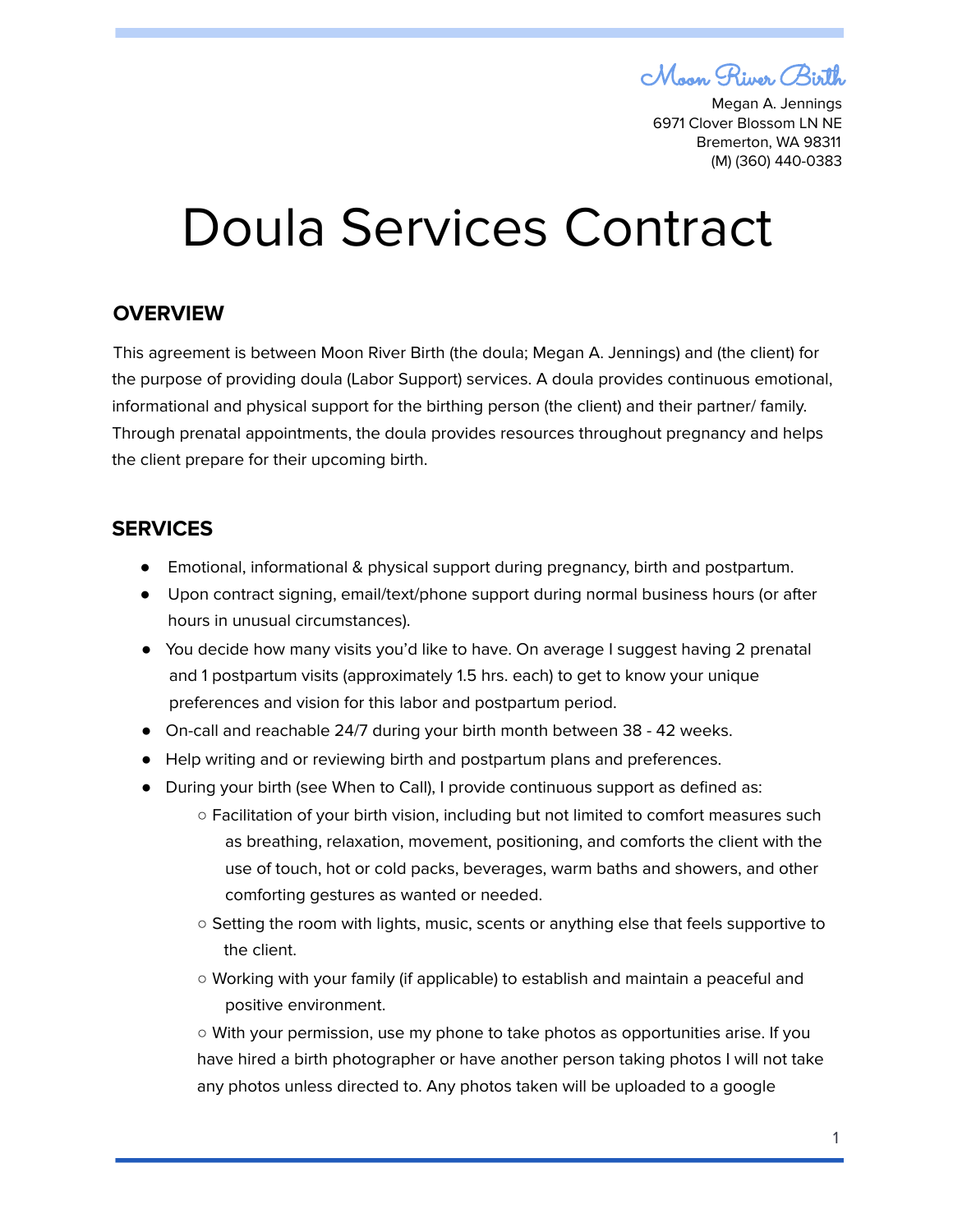Moon River Birth

Megan A. Jennings 6971 Clover Blossom LN NE Bremerton, WA 98311 (M) (360) 440-0383

# Doula Services Contract

## **OVERVIEW**

This agreement is between Moon River Birth (the doula; Megan A. Jennings) and (the client) for the purpose of providing doula (Labor Support) services. A doula provides continuous emotional, informational and physical support for the birthing person (the client) and their partner/ family. Through prenatal appointments, the doula provides resources throughout pregnancy and helps the client prepare for their upcoming birth.

## **SERVICES**

- Emotional, informational & physical support during pregnancy, birth and postpartum.
- Upon contract signing, email/text/phone support during normal business hours (or after hours in unusual circumstances).
- You decide how many visits you'd like to have. On average I suggest having 2 prenatal and 1 postpartum visits (approximately 1.5 hrs. each) to get to know your unique preferences and vision for this labor and postpartum period.
- On-call and reachable 24/7 during your birth month between 38 42 weeks.
- Help writing and or reviewing birth and postpartum plans and preferences.
- During your birth (see When to Call), I provide continuous support as defined as:
	- Facilitation of your birth vision, including but not limited to comfort measures such as breathing, relaxation, movement, positioning, and comforts the client with the use of touch, hot or cold packs, beverages, warm baths and showers, and other comforting gestures as wanted or needed.
	- Setting the room with lights, music, scents or anything else that feels supportive to the client.
	- Working with your family (if applicable) to establish and maintain a peaceful and positive environment.

○ With your permission, use my phone to take photos as opportunities arise. If you have hired a birth photographer or have another person taking photos I will not take any photos unless directed to. Any photos taken will be uploaded to a google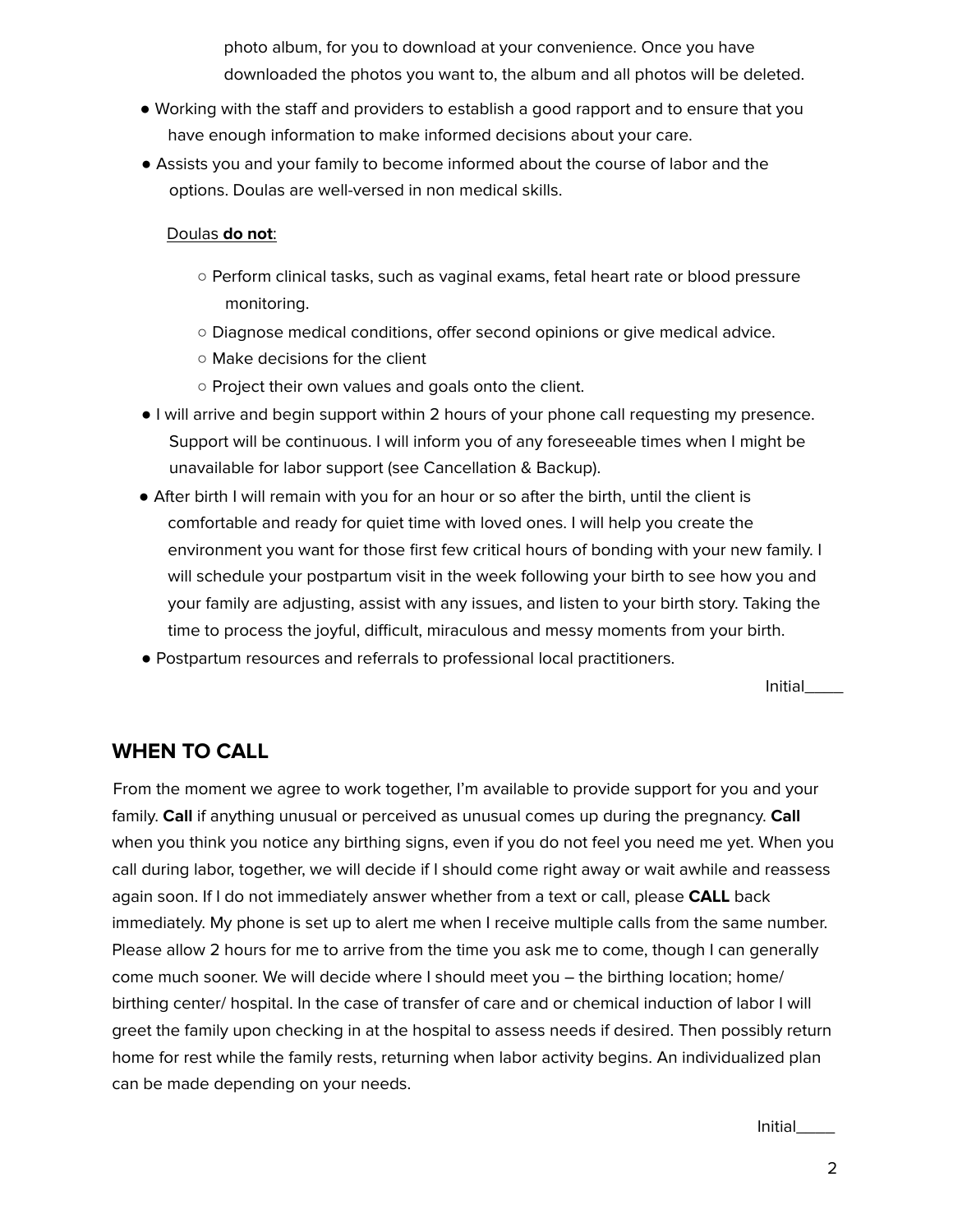photo album, for you to download at your convenience. Once you have downloaded the photos you want to, the album and all photos will be deleted.

- Working with the staff and providers to establish a good rapport and to ensure that you have enough information to make informed decisions about your care.
- Assists you and your family to become informed about the course of labor and the options. Doulas are well-versed in non medical skills.

#### Doulas **do not**:

- Perform clinical tasks, such as vaginal exams, fetal heart rate or blood pressure monitoring.
- Diagnose medical conditions, offer second opinions or give medical advice.
- Make decisions for the client
- Project their own values and goals onto the client.
- I will arrive and begin support within 2 hours of your phone call requesting my presence. Support will be continuous. I will inform you of any foreseeable times when I might be unavailable for labor support (see Cancellation & Backup).
- After birth I will remain with you for an hour or so after the birth, until the client is comfortable and ready for quiet time with loved ones. I will help you create the environment you want for those first few critical hours of bonding with your new family. I will schedule your postpartum visit in the week following your birth to see how you and your family are adjusting, assist with any issues, and listen to your birth story. Taking the time to process the joyful, difficult, miraculous and messy moments from your birth.
- Postpartum resources and referrals to professional local practitioners.

Initial\_\_\_\_

# **WHEN TO CALL**

From the moment we agree to work together, I'm available to provide support for you and your family. **Call** if anything unusual or perceived as unusual comes up during the pregnancy. **Call** when you think you notice any birthing signs, even if you do not feel you need me yet. When you call during labor, together, we will decide if I should come right away or wait awhile and reassess again soon. If I do not immediately answer whether from a text or call, please **CALL** back immediately. My phone is set up to alert me when I receive multiple calls from the same number. Please allow 2 hours for me to arrive from the time you ask me to come, though I can generally come much sooner. We will decide where I should meet you – the birthing location; home/ birthing center/ hospital. In the case of transfer of care and or chemical induction of labor I will greet the family upon checking in at the hospital to assess needs if desired. Then possibly return home for rest while the family rests, returning when labor activity begins. An individualized plan can be made depending on your needs.

Initial\_\_\_\_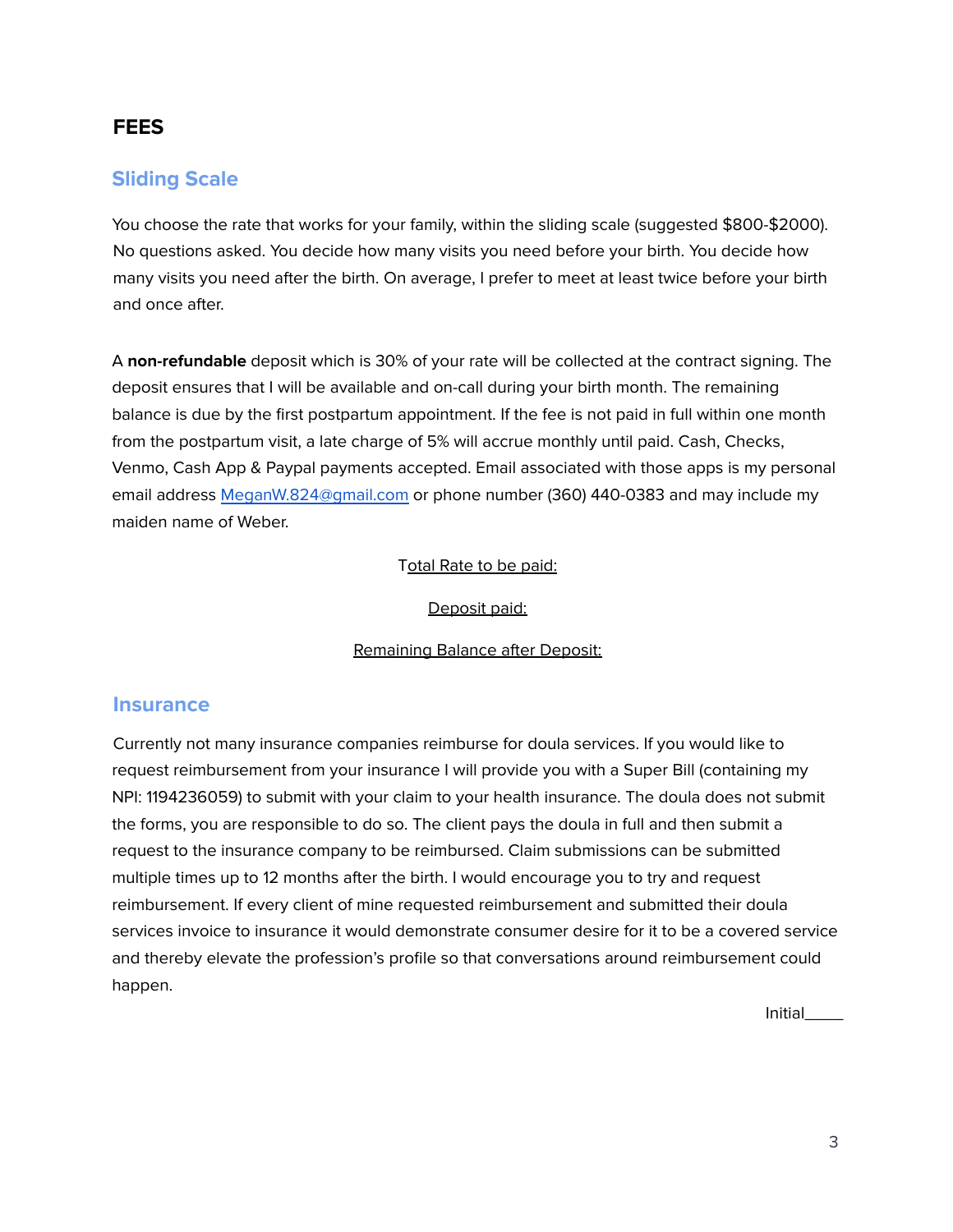# **FEES**

# **Sliding Scale**

You choose the rate that works for your family, within the sliding scale (suggested \$800-\$2000). No questions asked. You decide how many visits you need before your birth. You decide how many visits you need after the birth. On average, I prefer to meet at least twice before your birth and once after.

A **non-refundable** deposit which is 30% of your rate will be collected at the contract signing. The deposit ensures that I will be available and on-call during your birth month. The remaining balance is due by the first postpartum appointment. If the fee is not paid in full within one month from the postpartum visit, a late charge of 5% will accrue monthly until paid. Cash, Checks, Venmo, Cash App & Paypal payments accepted. Email associated with those apps is my personal email address MeganW.824@gmail.com or phone number (360) 440-0383 and may include my maiden name of Weber.

#### Total Rate to be paid:

#### Deposit paid:

#### Remaining Balance after Deposit:

#### **Insurance**

Currently not many insurance companies reimburse for doula services. If you would like to request reimbursement from your insurance I will provide you with a Super Bill (containing my NPI: 1194236059) to submit with your claim to your health insurance. The doula does not submit the forms, you are responsible to do so. The client pays the doula in full and then submit a request to the insurance company to be reimbursed. Claim submissions can be submitted multiple times up to 12 months after the birth. I would encourage you to try and request reimbursement. If every client of mine requested reimbursement and submitted their doula services invoice to insurance it would demonstrate consumer desire for it to be a covered service and thereby elevate the profession's profile so that conversations around reimbursement could happen.

Initial\_\_\_\_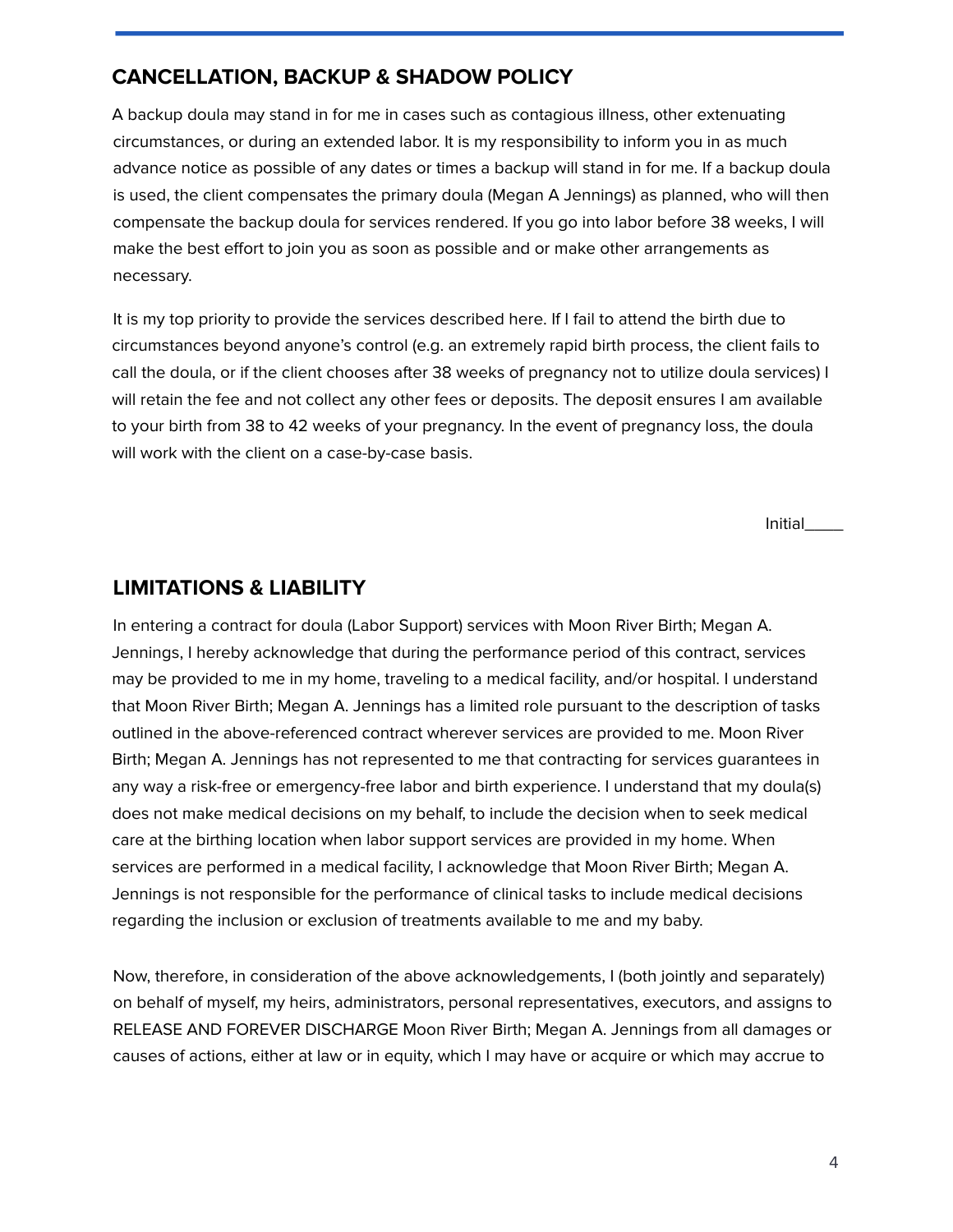# **CANCELLATION, BACKUP & SHADOW POLICY**

A backup doula may stand in for me in cases such as contagious illness, other extenuating circumstances, or during an extended labor. It is my responsibility to inform you in as much advance notice as possible of any dates or times a backup will stand in for me. If a backup doula is used, the client compensates the primary doula (Megan A Jennings) as planned, who will then compensate the backup doula for services rendered. If you go into labor before 38 weeks, I will make the best effort to join you as soon as possible and or make other arrangements as necessary.

It is my top priority to provide the services described here. If I fail to attend the birth due to circumstances beyond anyone's control (e.g. an extremely rapid birth process, the client fails to call the doula, or if the client chooses after 38 weeks of pregnancy not to utilize doula services) I will retain the fee and not collect any other fees or deposits. The deposit ensures I am available to your birth from 38 to 42 weeks of your pregnancy. In the event of pregnancy loss, the doula will work with the client on a case-by-case basis.

Initial\_\_\_\_

## **LIMITATIONS & LIABILITY**

In entering a contract for doula (Labor Support) services with Moon River Birth; Megan A. Jennings, I hereby acknowledge that during the performance period of this contract, services may be provided to me in my home, traveling to a medical facility, and/or hospital. I understand that Moon River Birth; Megan A. Jennings has a limited role pursuant to the description of tasks outlined in the above-referenced contract wherever services are provided to me. Moon River Birth; Megan A. Jennings has not represented to me that contracting for services guarantees in any way a risk-free or emergency-free labor and birth experience. I understand that my doula(s) does not make medical decisions on my behalf, to include the decision when to seek medical care at the birthing location when labor support services are provided in my home. When services are performed in a medical facility, I acknowledge that Moon River Birth; Megan A. Jennings is not responsible for the performance of clinical tasks to include medical decisions regarding the inclusion or exclusion of treatments available to me and my baby.

Now, therefore, in consideration of the above acknowledgements, I (both jointly and separately) on behalf of myself, my heirs, administrators, personal representatives, executors, and assigns to RELEASE AND FOREVER DISCHARGE Moon River Birth; Megan A. Jennings from all damages or causes of actions, either at law or in equity, which I may have or acquire or which may accrue to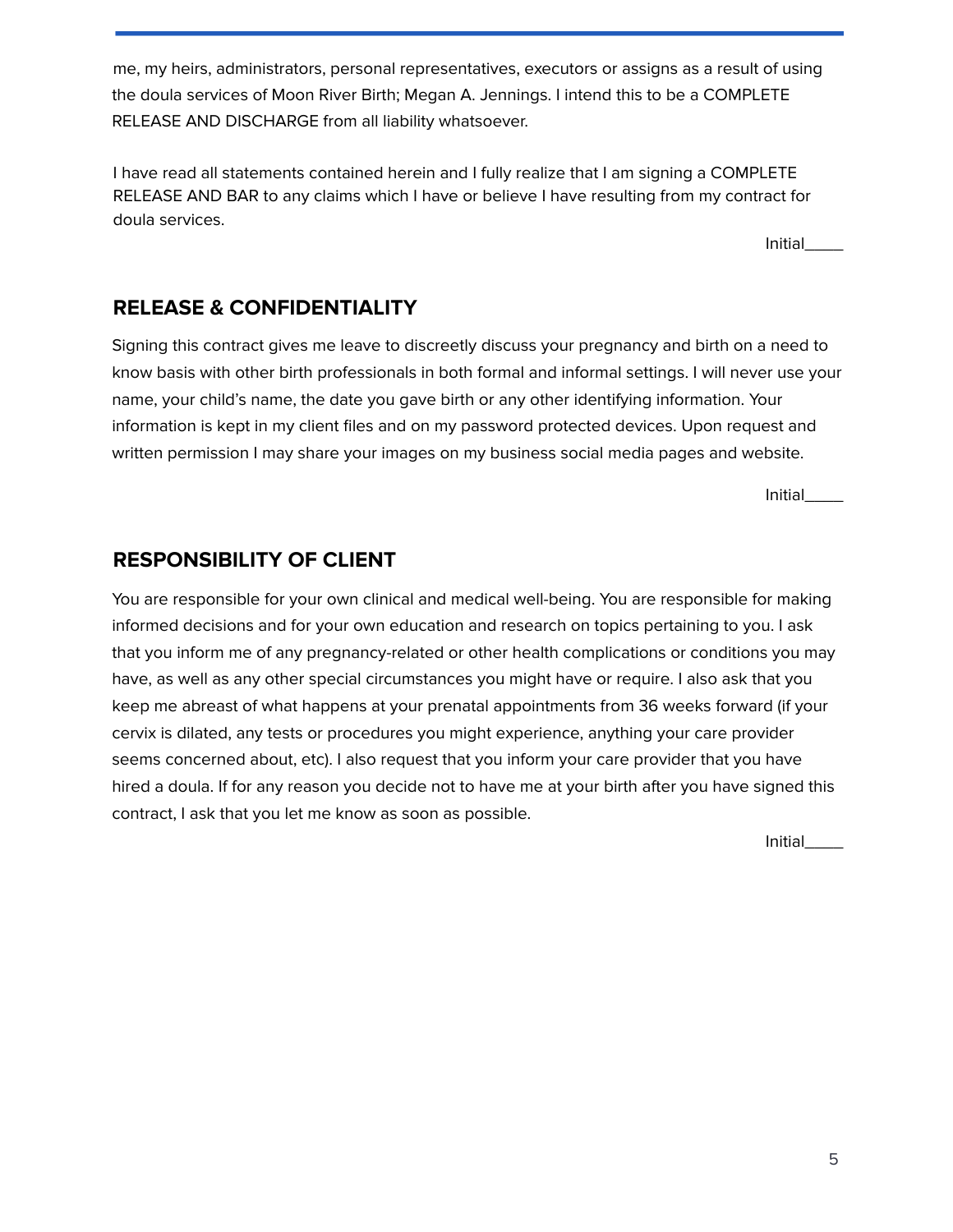me, my heirs, administrators, personal representatives, executors or assigns as a result of using the doula services of Moon River Birth; Megan A. Jennings. I intend this to be a COMPLETE RELEASE AND DISCHARGE from all liability whatsoever.

I have read all statements contained herein and I fully realize that I am signing a COMPLETE RELEASE AND BAR to any claims which I have or believe I have resulting from my contract for doula services.

Initial\_\_\_\_

# **RELEASE & CONFIDENTIALITY**

Signing this contract gives me leave to discreetly discuss your pregnancy and birth on a need to know basis with other birth professionals in both formal and informal settings. I will never use your name, your child's name, the date you gave birth or any other identifying information. Your information is kept in my client files and on my password protected devices. Upon request and written permission I may share your images on my business social media pages and website.

Initial\_\_\_\_

# **RESPONSIBILITY OF CLIENT**

You are responsible for your own clinical and medical well-being. You are responsible for making informed decisions and for your own education and research on topics pertaining to you. I ask that you inform me of any pregnancy-related or other health complications or conditions you may have, as well as any other special circumstances you might have or require. I also ask that you keep me abreast of what happens at your prenatal appointments from 36 weeks forward (if your cervix is dilated, any tests or procedures you might experience, anything your care provider seems concerned about, etc). I also request that you inform your care provider that you have hired a doula. If for any reason you decide not to have me at your birth after you have signed this contract, I ask that you let me know as soon as possible.

**Initial**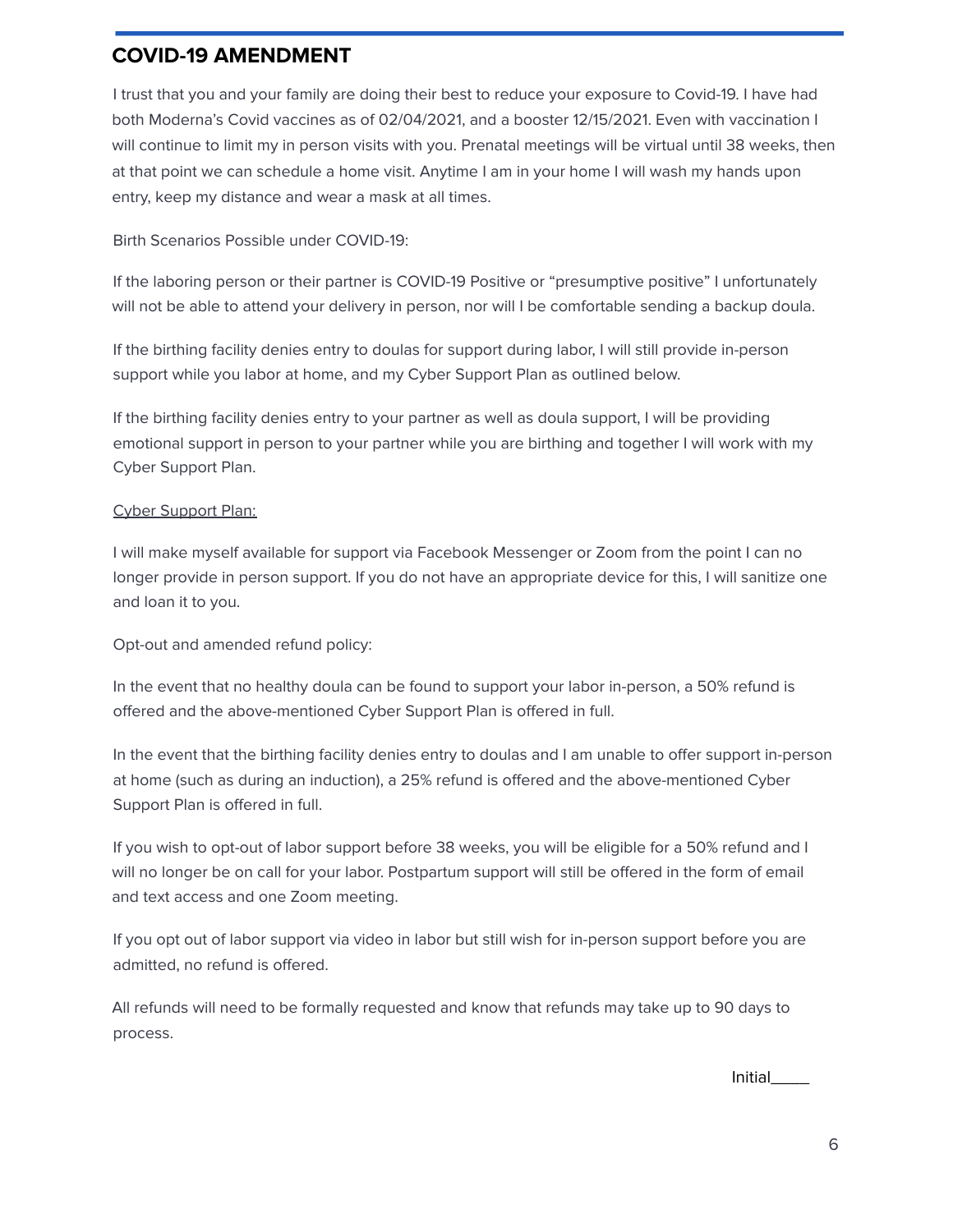## **COVID-19 AMENDMENT**

I trust that you and your family are doing their best to reduce your exposure to Covid-19. I have had both Moderna's Covid vaccines as of 02/04/2021, and a booster 12/15/2021. Even with vaccination I will continue to limit my in person visits with you. Prenatal meetings will be virtual until 38 weeks, then at that point we can schedule a home visit. Anytime I am in your home I will wash my hands upon entry, keep my distance and wear a mask at all times.

Birth Scenarios Possible under COVID-19:

If the laboring person or their partner is COVID-19 Positive or "presumptive positive" I unfortunately will not be able to attend your delivery in person, nor will I be comfortable sending a backup doula.

If the birthing facility denies entry to doulas for support during labor, I will still provide in-person support while you labor at home, and my Cyber Support Plan as outlined below.

If the birthing facility denies entry to your partner as well as doula support, I will be providing emotional support in person to your partner while you are birthing and together I will work with my Cyber Support Plan.

#### Cyber Support Plan:

I will make myself available for support via Facebook Messenger or Zoom from the point I can no longer provide in person support. If you do not have an appropriate device for this, I will sanitize one and loan it to you.

Opt-out and amended refund policy:

In the event that no healthy doula can be found to support your labor in-person, a 50% refund is offered and the above-mentioned Cyber Support Plan is offered in full.

In the event that the birthing facility denies entry to doulas and I am unable to offer support in-person at home (such as during an induction), a 25% refund is offered and the above-mentioned Cyber Support Plan is offered in full.

If you wish to opt-out of labor support before 38 weeks, you will be eligible for a 50% refund and I will no longer be on call for your labor. Postpartum support will still be offered in the form of email and text access and one Zoom meeting.

If you opt out of labor support via video in labor but still wish for in-person support before you are admitted, no refund is offered.

All refunds will need to be formally requested and know that refunds may take up to 90 days to process.

Initial\_\_\_\_